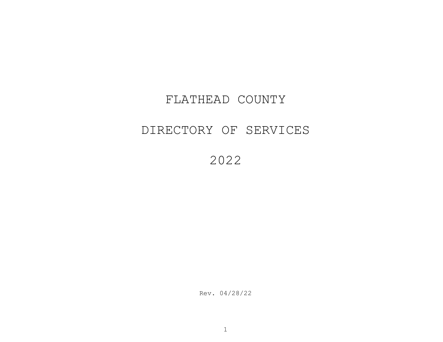## FLATHEAD COUNTY

## DIRECTORY OF SERVICES

2022

Rev. 04/28/22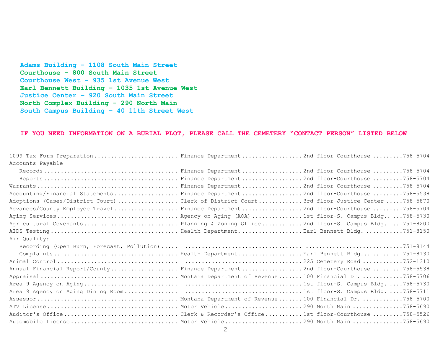**Adams Building – 1108 South Main Street Courthouse – 800 South Main Street Courthouse West – 935 1st Avenue West Earl Bennett Building – 1035 1st Avenue West Justice Center – 920 South Main Street North Complex Building - 290 North Main South Campus Building – 40 11th Street West**

## **IF YOU NEED INFORMATION ON A BURIAL PLOT, PLEASE CALL THE CEMETERY "CONTACT PERSON" LISTED BELOW**

| 1099 Tax Form Preparation Finance Department2nd floor-Courthouse758-5704                  |  |
|-------------------------------------------------------------------------------------------|--|
| Accounts Payable                                                                          |  |
|                                                                                           |  |
|                                                                                           |  |
|                                                                                           |  |
| Accounting/Financial Statements Finance Department2nd floor-Courthouse758-5538            |  |
| Adoptions (Cases/District Court) Clerk of District Court3rd floor-Justice Center 758-5870 |  |
| Advances/County Employee Travel Finance Department2nd floor-Courthouse758-5704            |  |
|                                                                                           |  |
| Agricultural Covenants Planning & Zoning Office2nd floor-S. Campus Bldg751-8200           |  |
|                                                                                           |  |
|                                                                                           |  |
| Air Quality:                                                                              |  |
|                                                                                           |  |
|                                                                                           |  |
|                                                                                           |  |
| Annual Financial Report/County Finance Department2nd floor-Courthouse758-5538             |  |
|                                                                                           |  |
|                                                                                           |  |
|                                                                                           |  |
|                                                                                           |  |
|                                                                                           |  |
|                                                                                           |  |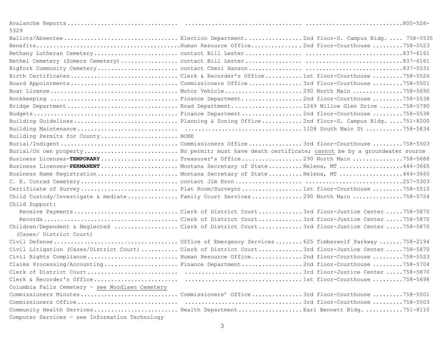| 5329                                            |                                                                                                    |
|-------------------------------------------------|----------------------------------------------------------------------------------------------------|
|                                                 |                                                                                                    |
|                                                 |                                                                                                    |
|                                                 |                                                                                                    |
|                                                 |                                                                                                    |
|                                                 |                                                                                                    |
|                                                 | Birth CertificatesClerk & Recorder's Office1st floor-Courthouse758-5526                            |
|                                                 | Board AppointmentsCommissioners Office3rd floor-Courthouse758-5501                                 |
|                                                 |                                                                                                    |
|                                                 |                                                                                                    |
|                                                 | Bridge DepartmentRoad Department1249 Willow Glen Drive 758-5790                                    |
|                                                 |                                                                                                    |
|                                                 | Building GuidelinesPlanning & Zoning Office2nd floor-S. Campus Bldg751-8200                        |
|                                                 |                                                                                                    |
| Building Permits for County NONE                |                                                                                                    |
|                                                 | Burial/IndigentCommissioners Office3rd floor-Courthouse758-5503                                    |
|                                                 | Burial/On own property No permit; must have death certificate; cannot be by a groundwater source   |
|                                                 | Business Licenses-TEMPORARYTreasurer's Office290 North Main 758-5688                               |
|                                                 | Business Licenses-PERMANENT Montana Secretary of StateHelena, MT444-3665                           |
|                                                 | Business Name Reqistration Montana Secretary of StateHelena, MT 444-3665                           |
|                                                 |                                                                                                    |
|                                                 | Certificate of Survey Plat Room/Surveyor1st floor-Courthouse758-5510                               |
|                                                 | Child Custody/Investigate & mediate Family Court Services290 North Main 758-5724                   |
| Child Support:                                  |                                                                                                    |
|                                                 | Receive PaymentsClerk of District Court3rd floor-Justice Center 758-5870                           |
|                                                 |                                                                                                    |
| (Cases/ District Court)                         | Children/Dependent & Neglected Clerk of District Court3rd floor-Justice Center 758-5870            |
|                                                 |                                                                                                    |
|                                                 | Civil Litigation (Cases/District Court)  Clerk of District Court 3rd floor-Justice Center 758-5870 |
|                                                 | Civil Rights Compliance Human Resource Office2nd floor-Courthouse758-5523                          |
|                                                 | Claims Processing/Accounting  Finance Department 2nd floor-Courthouse 758-5704                     |
|                                                 |                                                                                                    |
|                                                 |                                                                                                    |
| Columbia Falls Cemetery - see Woodlawn Cemetery |                                                                                                    |
|                                                 | Commissioners MinutesCommissioners' Office3rd floor-Courthouse758-5501                             |
|                                                 |                                                                                                    |
|                                                 | Community Health Services Health DepartmentEarl Bennett Bldg. 751-8110                             |
| Computer Services - see Information Technology  |                                                                                                    |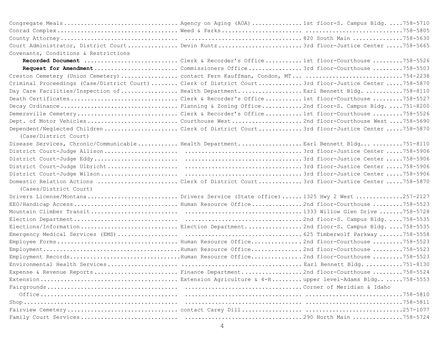|                                      | Congregate Meals Agency on Aging (AOA) 1st floor-S. Campus Bldg758-5710                               |
|--------------------------------------|-------------------------------------------------------------------------------------------------------|
|                                      |                                                                                                       |
|                                      |                                                                                                       |
|                                      | Court Administrator, District Court Devin Kuntz3rd floor-Justice Center 758-5665                      |
| Covenants, Conditions & Restrictions |                                                                                                       |
|                                      | Recorded Document Clerk & Recorder's Office1st floor-Courthouse 758-5526                              |
|                                      | Request for AmendmentCommissioners Office3rd floor-Courthouse 758-5503                                |
|                                      | Creston Cemetery (Union Cemetery)  contact Fern Kauffman, Condon, MT 754-2238                         |
|                                      | Criminal Proceedings (Case/District Court)  Clerk of District Court 3rd floor-Justice Center 758-5870 |
|                                      | Day Care Facilities/Inspection of Health DepartmentEarl Bennett Bldg758-8110                          |
|                                      | Death CertificatesClerk & Recorder's Office1st floor-Courthouse758-5527                               |
|                                      | Decay Ordinance Planning & Zoning Office2nd floor-S. Campus Bldg. 751-8200                            |
|                                      | Demersville CemeteryClerk & Recorder's Office1st floor-Courthouse758-5526                             |
|                                      | Dept. of Motor VehiclesCourthouse West2nd floor-Courthouse West758-5690                               |
| (Case/District Court)                | Dependent/Neglected Children Clerk of District Court3rd floor-Justice Center 758-5870                 |
|                                      | Disease Services, Chronic/Communicable Health DepartmentEarl Bennett Bldg751-8110                     |
|                                      |                                                                                                       |
|                                      |                                                                                                       |
|                                      |                                                                                                       |
|                                      |                                                                                                       |
|                                      | Domestic Relation Actions Clerk of District Court3rd floor-Justice Center 758-5870                    |
| (Cases/District Court)               |                                                                                                       |
|                                      | Drivers License/MontanaDrivers Service (State office) 1325 Hwy 2 West257-2127                         |
|                                      | EEO/Handicap Access Human Resource Office2nd floor-Courthouse758-5523                                 |
|                                      |                                                                                                       |
|                                      |                                                                                                       |
|                                      | Elections/Information  Election Department2nd floor-S. Campus Bldg. 758-5535                          |
|                                      |                                                                                                       |
|                                      |                                                                                                       |
|                                      |                                                                                                       |
|                                      | Employment RecordsHuman Resource Office2nd floor-Courthouse 758-5523                                  |
|                                      |                                                                                                       |
|                                      | Expense & Revenue Reports Finance Department2nd floor-Courthouse758-5524                              |
|                                      |                                                                                                       |
|                                      |                                                                                                       |
|                                      |                                                                                                       |
|                                      |                                                                                                       |
|                                      |                                                                                                       |
|                                      |                                                                                                       |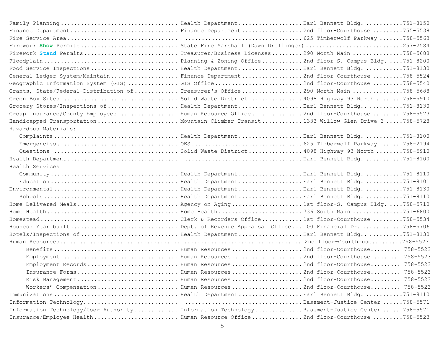|                      | Finance Department Finance Department2nd floor-Courthouse 755-5538                           |
|----------------------|----------------------------------------------------------------------------------------------|
|                      |                                                                                              |
|                      |                                                                                              |
|                      | Firework Stand PermitsTreasurer/Business Licenses290 North Main 758-5688                     |
|                      |                                                                                              |
|                      | Food Service Inspections Health DepartmentEarl Bennett Bldg751-8130                          |
|                      | General Ledger System/Maintain Finance Department2nd floor-Courthouse758-5524                |
|                      | Geographic Information System (GIS) GIS Office2nd floor-Courthouse 758-5540                  |
|                      | Grants, State/Federal-Distribution ofTreasurer's Office290 North Main758-5688                |
|                      | Green Box SitesSolid Waste District4098 Highway 93 North758-5910                             |
|                      | Grocery Stores/Inspections of Health DepartmentEarl Bennett Bldg751-8130                     |
|                      | Group Insurance/County Employees Human Resource Office2nd floor-Courthouse758-5523           |
|                      | Handicapped Transportation Mountain Climber Transit1333 Willow Glen Drive 3758-5728          |
| Hazardous Materials: |                                                                                              |
|                      |                                                                                              |
|                      |                                                                                              |
|                      |                                                                                              |
|                      |                                                                                              |
| Health Services      |                                                                                              |
|                      |                                                                                              |
|                      |                                                                                              |
|                      |                                                                                              |
|                      |                                                                                              |
|                      | Home Delivered Meals Agency on Aging1st floor-S. Campus Bldg758-5710                         |
|                      |                                                                                              |
|                      |                                                                                              |
|                      | Houses: Year builtDept. of Revenue Appraisal Office100 Financial Dr758-5706                  |
|                      | Hotels/Inspections of Health DepartmentEarl Bennett Bldg751-8130                             |
|                      |                                                                                              |
|                      |                                                                                              |
|                      |                                                                                              |
|                      | Employment Records Human Resources 2nd floor-Courthouse 758-5523                             |
|                      | Insurance Forms Human Resources 2nd floor-Courthouse 758-5523                                |
|                      | Risk Management Human Resources 2nd floor-Courthouse 758-5523                                |
|                      | Workers' Compensation Human Resources2nd floor-Courthouse 758-5523                           |
|                      |                                                                                              |
|                      |                                                                                              |
|                      | Information Technology/User Authority Information TechnologyBasement-Justice Center 758-5571 |
|                      | Insurance/Employee Health Human Resource Office2nd floor-Courthouse758-5523                  |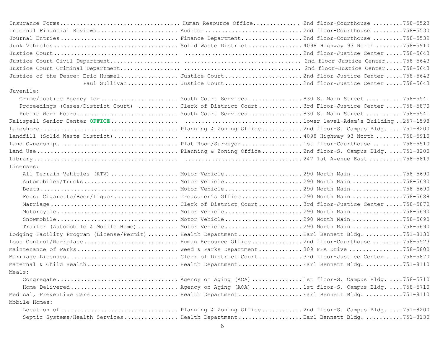| Internal Financial Reviews Auditor2nd floor-Courthouse758-5530                                |                                                                 |  |
|-----------------------------------------------------------------------------------------------|-----------------------------------------------------------------|--|
| Journal Entries Finance Department2nd floor-Courthouse758-5539                                |                                                                 |  |
|                                                                                               |                                                                 |  |
|                                                                                               |                                                                 |  |
|                                                                                               |                                                                 |  |
|                                                                                               |                                                                 |  |
| Justice of the Peace: Eric HummelJustice Court2nd floor-Justice Center 758-5643               |                                                                 |  |
|                                                                                               | Paul Sullivan  Justice Court  2nd floor-Justice Center 758-5643 |  |
| Juvenile:                                                                                     |                                                                 |  |
| Crime/Justice Agency for Youth Court Services830 S. Main Street758-5541                       |                                                                 |  |
| Proceedings (Cases/District Court)  Clerk of District Court 3rd Floor-Justice Center 758-5870 |                                                                 |  |
| Public Work Hours Youth Court Services830 S. Main Street758-5541                              |                                                                 |  |
|                                                                                               |                                                                 |  |
|                                                                                               |                                                                 |  |
|                                                                                               |                                                                 |  |
|                                                                                               |                                                                 |  |
|                                                                                               |                                                                 |  |
|                                                                                               |                                                                 |  |
| Licenses:                                                                                     |                                                                 |  |
| All Terrain Vehicles (ATV)  Motor Vehicle290 North Main 758-5690                              |                                                                 |  |
| Automobiles/Trucks Motor Vehicle290 North Main 758-5690                                       |                                                                 |  |
|                                                                                               |                                                                 |  |
| Fees: Cigarette/Beer/Liquor Treasurer's Office290 North Main 758-5688                         |                                                                 |  |
|                                                                                               |                                                                 |  |
|                                                                                               |                                                                 |  |
|                                                                                               |                                                                 |  |
| Trailer (Automobile & Mobile Home)  Motor Vehicle290 North Main 758-5690                      |                                                                 |  |
| Lodging Facility Program (License/Permit)  Health DepartmentEarl Bennett Bldg. 751-8130       |                                                                 |  |
| Loss Control/WorkplaceHuman Resource Office2nd floor-Courthouse758-5523                       |                                                                 |  |
| Maintenance of Parks Weed & Parks Department309 FFA Drive 758-5800                            |                                                                 |  |
| Marriage LicensesClerk of District Court3rd floor-Justice Center758-5870                      |                                                                 |  |
| Maternal & Child Health Health DepartmentEarl Bennett Bldg751-8110                            |                                                                 |  |
| Meals:                                                                                        |                                                                 |  |
|                                                                                               |                                                                 |  |
| Home Delivered Agency on Aging (AOA)1st floor-S. Campus Bldg758-5710                          |                                                                 |  |
| Medical, Preventive CareBealth DepartmentEarl Bennett Bldg751-8110                            |                                                                 |  |
| Mobile Homes:                                                                                 |                                                                 |  |
|                                                                                               |                                                                 |  |
| Septic Systems/Health Services Health DepartmentEarl Bennett Bldg751-8130                     |                                                                 |  |
|                                                                                               | 6                                                               |  |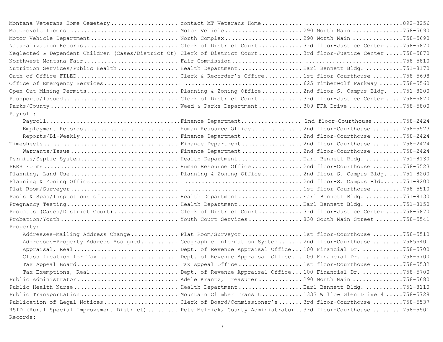| Motorcycle License Motor Vehicle290 North Main 758-5690                                                    |  |
|------------------------------------------------------------------------------------------------------------|--|
| Motor Vehicle DepartmentRorth Complex290 North Main 758-5690                                               |  |
| Naturalization RecordsClerk of District Court3rd floor-Justice Center 758-5870                             |  |
| Neglected & Dependent Children (Cases/District Ct) Clerk of District Court3rd floor-Justice Center758-5870 |  |
|                                                                                                            |  |
| Nutrition Services/Public Health Health DepartmentEarl Bennett Bldg751-8170                                |  |
| Oath of Office-FILEDClerk & Recorder's Office1st floor-Courthouse758-5698                                  |  |
|                                                                                                            |  |
| Open Cut Mining Permits Planning & Zoning Office2nd floor-S. Campus Bldg. 751-8200                         |  |
| Passports/IssuedClerk of District Court3rd floor-Justice Center 758-5870                                   |  |
|                                                                                                            |  |
| Payroll:                                                                                                   |  |
|                                                                                                            |  |
| Employment Records Human Resource Office2nd floor-Courthouse758-5523                                       |  |
| Reports/Bi-WeeklyFinance Department2nd floor-Courthouse758-2424                                            |  |
|                                                                                                            |  |
| Warrants/IssueFinance Department2nd floor-Courthouse758-2424                                               |  |
|                                                                                                            |  |
|                                                                                                            |  |
| Planning, Land Use Planning & Zoning Office2nd floor-S. Campus Bldg751-8200                                |  |
|                                                                                                            |  |
|                                                                                                            |  |
| Pools & Spas/Inspections of Health DepartmentEarl Bennett Bldg751-8130                                     |  |
|                                                                                                            |  |
| Probates (Cases/District Court) Clerk of District Court3rd floor-Justice Center 758-5870                   |  |
|                                                                                                            |  |
| Property:                                                                                                  |  |
| Addresses-Mailing Address ChangePlat Room/Surveyor1st floor-Courthouse758-5510                             |  |
| Addresses-Property Address Assigned Geographic Information System2nd floor-Courthouse 7585540              |  |
| Appraisal, RealDept. of Revenue Appraisal Office100 Financial Dr. 758-5700                                 |  |
| Classification for TaxDept. of Revenue Appraisal Office100 Financial Dr758-5700                            |  |
| Tax Appeal BoardTax Appeal Office1st floor-Courthouse758-5532                                              |  |
| Tax Exemptions, RealDept. of Revenue Appraisal Office100 Financial Dr758-5700                              |  |
| Public Administrator Adele Krantz, Treasurer290 North Main 758-5680                                        |  |
| Public Health Nurse Health DepartmentEarl Bennett Bldg751-8110                                             |  |
| Public Transportation  Mountain Climber Transit1333 Willow Glen Drive 4 758-5728                           |  |
| Publication of Legal NoticesClerk of Board/Commissioner's3rd floor-Courthouse758-5537                      |  |
| RSID (Rural Special Improvement District)  Pete Melnick, County Administrator3rd floor-Courthouse 758-5501 |  |
| Records:                                                                                                   |  |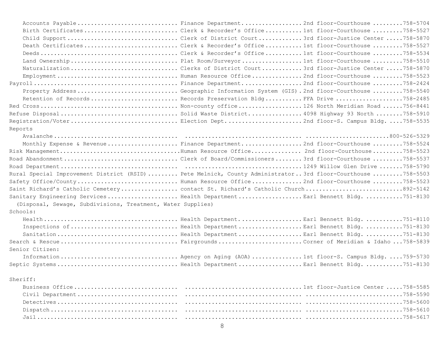| Accounts PayableFinance Department2nd floor-Courthouse 758-5704                                            |  |
|------------------------------------------------------------------------------------------------------------|--|
| Birth CertificatesClerk & Recorder's Office1st floor-Courthouse758-5527                                    |  |
| Child SupportClerk of District Court3rd floor-Justice Center758-5870                                       |  |
| Death CertificatesClerk & Recorder's Office1st floor-Courthouse758-5527                                    |  |
|                                                                                                            |  |
|                                                                                                            |  |
| Naturalization Clerks of District Court3rd floor-Justice Center 758-5870                                   |  |
|                                                                                                            |  |
|                                                                                                            |  |
| Property AddressGeographic Information System (GIS).2nd floor-Courthouse758-5540                           |  |
| Retention of Records Records Preservation BldgFFA Drive 758-2485                                           |  |
|                                                                                                            |  |
| Refuse Disposal Solid Waste District 4098 Highway 93 North 758-5910                                        |  |
| Registration/VoterElection Dept2nd floor-S. Campus Bldg758-5535                                            |  |
| Reports                                                                                                    |  |
|                                                                                                            |  |
| Monthly Expense & RevenueFinance Department2nd floor-Courthouse 758-5524                                   |  |
|                                                                                                            |  |
| Road AbandonmentClerk of Board/Commissioners3rd floor-Courthouse758-5537                                   |  |
|                                                                                                            |  |
| Rural Special Improvement District (RSID)  Pete Melnick, County Administrator3rd floor-Courthouse 758-5503 |  |
| Safety Office/CountyBuman Resource Office2nd floor-Courthouse 758-5523                                     |  |
| Saint Richard's Catholic Cemetery contact St. Richard's Catholic Church892-5142                            |  |
| Sanitary Engineering ServicesBealth DepartmentEarl Bennett Bldg751-8130                                    |  |
| (Disposal, Sewage, Subdivisions, Treatment, Water Supplies)                                                |  |
| Schools:                                                                                                   |  |
|                                                                                                            |  |
|                                                                                                            |  |
|                                                                                                            |  |
|                                                                                                            |  |
| Senior Citizen:                                                                                            |  |
| Information Agency on Aging (AOA) 1st floor-S. Campus Bldg. 759-5730                                       |  |
|                                                                                                            |  |
| Sheriff:                                                                                                   |  |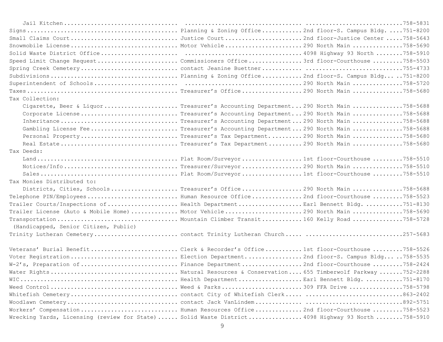|                                       | Snowmobile License Motor Vehicle290 North Main 758-5690                                           |  |
|---------------------------------------|---------------------------------------------------------------------------------------------------|--|
|                                       |                                                                                                   |  |
|                                       | Speed Limit Change Request  Commissioners Office 3rd floor-Courthouse 758-5503                    |  |
|                                       |                                                                                                   |  |
|                                       |                                                                                                   |  |
|                                       |                                                                                                   |  |
|                                       |                                                                                                   |  |
| Tax Collection:                       |                                                                                                   |  |
|                                       | Cigarette, Beer & LiquorTreasurer's Accounting Department290 North Main 758-5688                  |  |
|                                       | Corporate LicenseTreasurer's Accounting Department290 North Main 758-5688                         |  |
|                                       |                                                                                                   |  |
|                                       | Gambling License FeeTreasurer's Accounting Department290 North Main 758-5688                      |  |
|                                       | Personal PropertyTreasurer's Tax Department290 North Main 758-5680                                |  |
|                                       |                                                                                                   |  |
| Tax Deeds:                            |                                                                                                   |  |
|                                       |                                                                                                   |  |
|                                       |                                                                                                   |  |
|                                       |                                                                                                   |  |
| Tax Monies Distributed to:            |                                                                                                   |  |
|                                       | Districts, Cities, SchoolsTreasurer's Office290 North Main 758-5688                               |  |
|                                       | Telephone PIN/EmployeesBuman Resource Office2nd floor-Courthouse758-5523                          |  |
|                                       | Trailer Courts/Inspections of Health Department Earl Bennett Bldg751-8130                         |  |
|                                       | Trailer License (Auto & Mobile Home)  Motor Vehicle290 North Main 758-5690                        |  |
|                                       | Transportation  Mountain Climber Transit160 Kelly Road 758-5728                                   |  |
| (Handicapped, Senior Citizen, Public) |                                                                                                   |  |
|                                       |                                                                                                   |  |
|                                       | Veterans' Burial BenefitClerk & Recorder's Office1st floor-Courthouse758-5526                     |  |
|                                       | Voter RegistrationElection Department2nd floor-S. Campus Bldg758-5535                             |  |
|                                       | W-2's, Preparation of Finance Department2nd floor-Courthouse758-2424                              |  |
|                                       |                                                                                                   |  |
|                                       |                                                                                                   |  |
|                                       |                                                                                                   |  |
|                                       |                                                                                                   |  |
|                                       |                                                                                                   |  |
|                                       | Workers' Compensation Human Resources Office2nd floor-Courthouse758-5523                          |  |
|                                       | Wrecking Yards, Licensing (review for State)  Solid Waste District 4098 Highway 93 North 758-5910 |  |